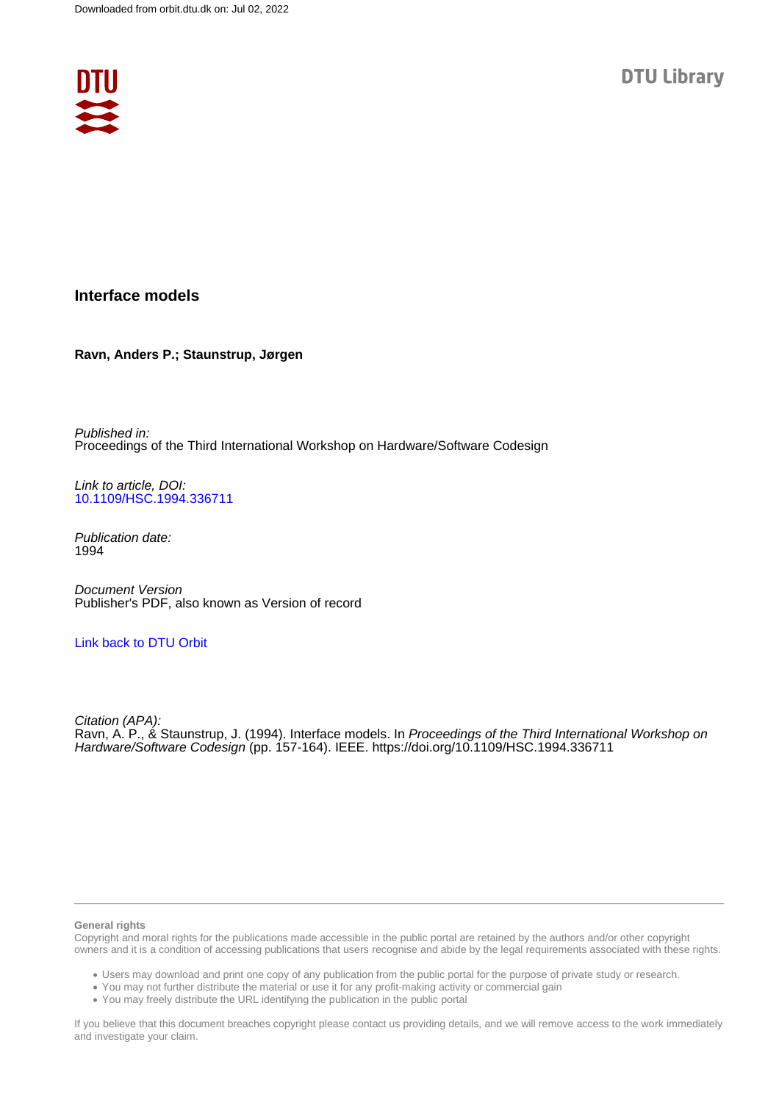

# **Interface models**

**Ravn, Anders P.; Staunstrup, Jørgen**

Published in: Proceedings of the Third International Workshop on Hardware/Software Codesign

Link to article, DOI: [10.1109/HSC.1994.336711](https://doi.org/10.1109/HSC.1994.336711)

Publication date: 1994

Document Version Publisher's PDF, also known as Version of record

# [Link back to DTU Orbit](https://orbit.dtu.dk/en/publications/7dd7ab03-9577-4f40-8bc6-2c23b778dcf8)

Citation (APA): Ravn, A. P., & Staunstrup, J. (1994). Interface models. In Proceedings of the Third International Workshop on Hardware/Software Codesign (pp. 157-164). IEEE.<https://doi.org/10.1109/HSC.1994.336711>

#### **General rights**

Copyright and moral rights for the publications made accessible in the public portal are retained by the authors and/or other copyright owners and it is a condition of accessing publications that users recognise and abide by the legal requirements associated with these rights.

Users may download and print one copy of any publication from the public portal for the purpose of private study or research.

- You may not further distribute the material or use it for any profit-making activity or commercial gain
- You may freely distribute the URL identifying the publication in the public portal

If you believe that this document breaches copyright please contact us providing details, and we will remove access to the work immediately and investigate your claim.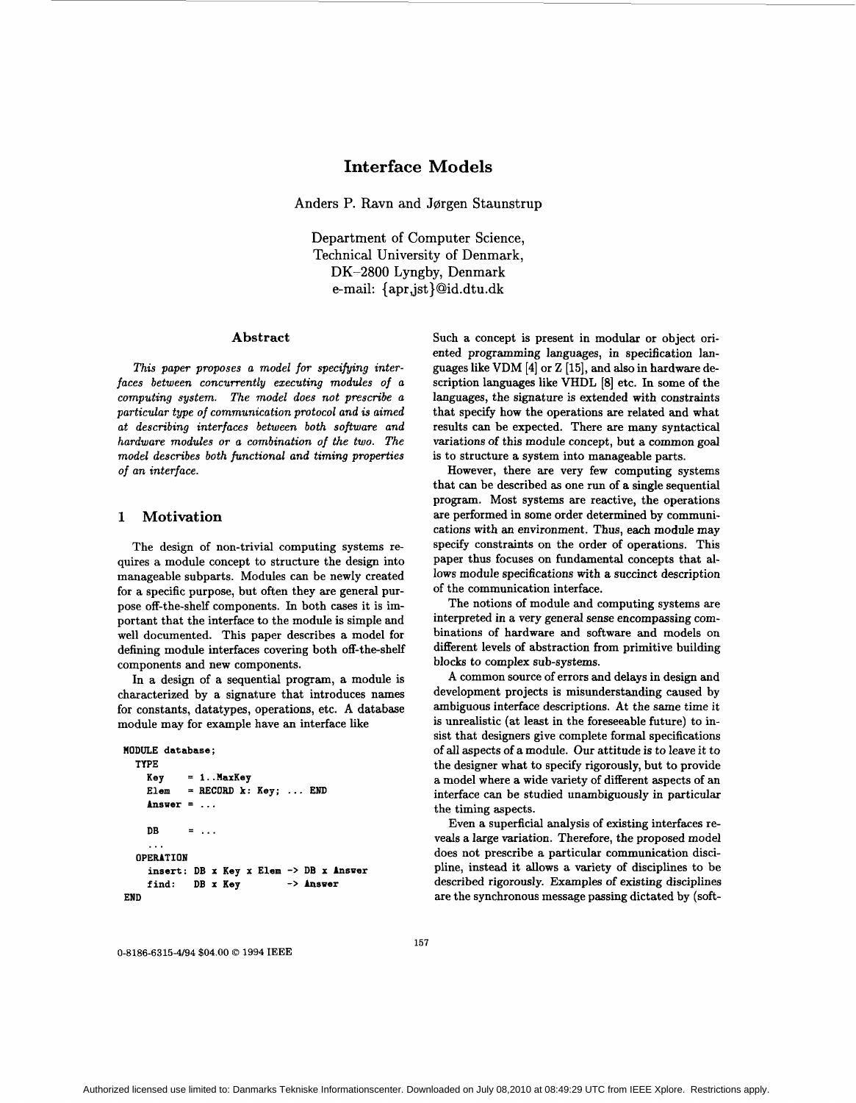# **Interface Models**

Anders P. Ravn and Jørgen Staunstrup

Department of Computer Science, Technical University of Denmark, **DK-2800** Lyngby, Denmark e-mail: {apr,jst}@id.dtu.dk

# **Abstract**

*This paper proposes a model for specihing interfaces between concurrently ezecuting modules of a Computing system. The model does not prescribe a particular type* **of** *communication protocol and* **is** *aimed at describing interfaces between both software and hardware modules or a combination of the two. The model describes both functional and timing properties*  **of** *an interface.* 

# **1 Motivation**

The design of non-trivial computing systems requires a module concept to structure the design into manageable subparts. Modules can be newly created for a specific purpose, but often they are general purpose off-the-shelf components. In both cases it is important that the interface to the module is simple and well documented. This paper describes a model for defining module interfaces covering both off-the-shelf components and new components.

In a design of a sequential program, a module is characterized by a signature that introduces names for constants, datatypes, operations, etc. A database module may for example have an interface like

```
MODULE database; 
 TYPE 
   Key = 1. .MaxKey 
   Elem = RECORD k: Key; ... ENDAnswer = ... 
   DB = ... ... 
  OPERAT I ON 
    insert: DB x Key x Elem -> DB x Ansuer 
   find: DB x Key -> Answer 
END
```
Such a concept is present in modular or object oriented programming languages, in specification languages like VDM **[4]** or Z **[15],** and also in hardware description languages like VHDL **[8]** etc. In some of the languages, the signature is extended with constraints that specify how the operations are related and what results can be expected. There are many syntactical variations of this module concept, but a common goal is to structure a system into manageable parts.

However, there are very few computing systems that can be described **as** one run of a single sequential program. Most systems are reactive, the operations are performed in some order determined by communications with an environment. Thus, each module may specify constraints on the order of operations. This paper thus focuses on fundamental concepts that allows module specifications with a succinct description of the communication interface.

The notions of module and computing systems are interpreted in a very general sense encompassing combinations of hardware and software and models on different levels of abstraction from primitive building blocks to complex sub-systems.

A common source of errors and delays in design and development projects is misunderstanding caused by ambiguous interface descriptions. At the same time it is unrealistic (at least in the foreseeable future) to insist that designers give complete formal specifications of all aspects of a module. Our attitude is to leave it to the designer what to specify rigorously, but to provide a model where a wide variety of different aspects of an interface can be studied unambiguously in particular the timing aspects.

Even a superficial analysis of existing interfaces reveals a large variation. Therefore, the proposed model does not prescribe a particular communication discipline, instead it allows a variety of disciplines to be described rigorously. Examples of existing disciplines are the synchronous message passing dictated by (soft-

**0-8186-6315-4/94 \$04.00** *0* **19!34 IEEE** 

**157**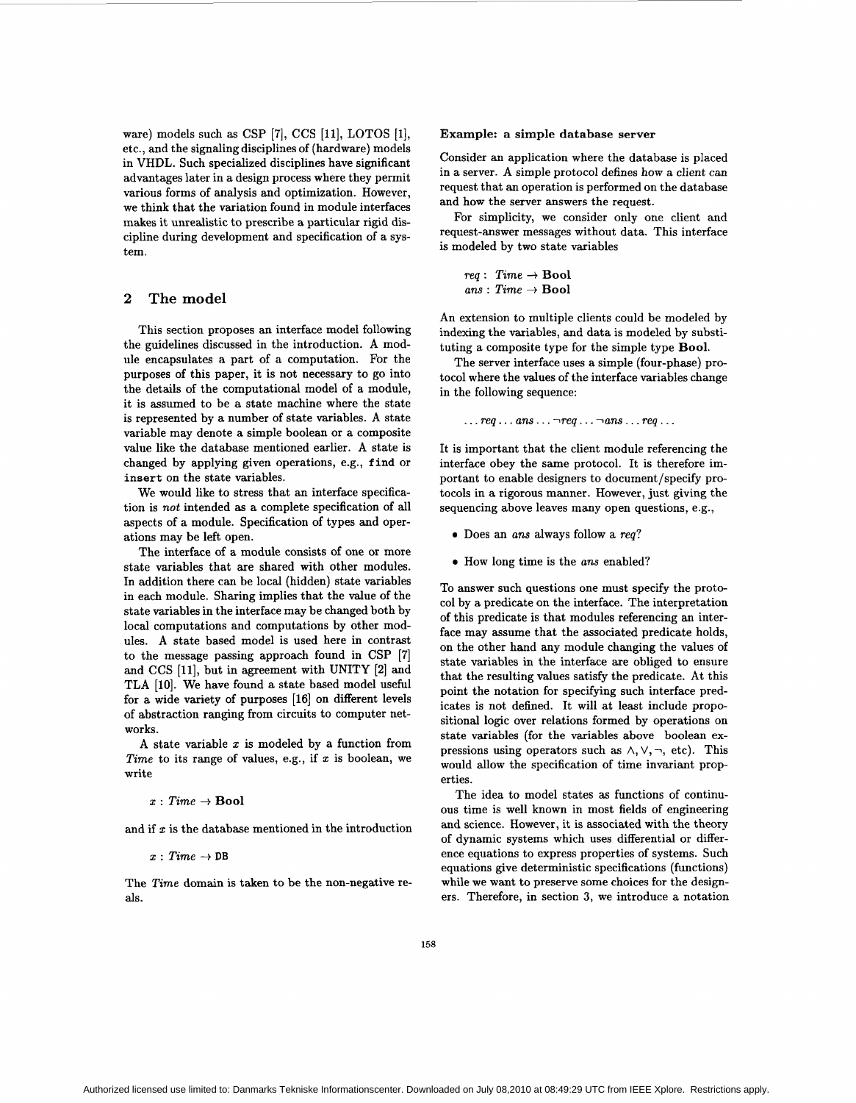ware) models such as CSP [7], CCS **[ll],** LOTOS **[l],**  etc., and the signaling disciplines of (hardware) models in VHDL. Such specialized disciplines have significant advantages later in a design process where they permit various forms of analysis and optimization. However, we think that the variation found in module interfaces makes it unrealistic to prescribe a particular rigid discipline during development and specification of a system.

# **2 The model**

This section proposes an interface model following the guidelines discussed in the introduction. **A** module encapsulates a part of a computation. For the purposes of this paper, it is not necessary to go into the details of the computational model of a module, it is assumed to be a state machine where the state is represented by a number of state variables. **A** state variable may denote a simple boolean or a composite value like the database mentioned earlier. A state is changed by applying given operations, e.g., **find** or insert on the state variables.

We would like to stress that an interface specification is not intended **as** a complete specification of all aspects of a module. Specification of types and operations may be left open.

The interface of a module consists of one **or** more state variables that are shared with other modules. In addition there can be local (hidden) state variables in each module. Sharing implies that the value of the state variables in the interface may be changed both by local computations and computations by other modules. **A** state based model is used here in contrast to the message passing approach found in CSP **[7]**  and CCS **[ll],** but in agreement with UNITY **[2]** and TLA **[lo].** We have found a state based model useful for a wide variety of purposes **[16]** on different levels of abstraction ranging from circuits to computer networks.

A state variable *x* is modeled by a function from *Time* to its range of values, e.g., if **z** is boolean, we write

 $x: Time \rightarrow \textbf{Bool}$ 

and if *x* is the database mentioned in the introduction

 $x: Time \rightarrow DB$ 

The *Time* domain is taken to be the non-negative reals.

#### Example: a simple database **server**

Consider an application where the database is placed in a server. **A** simple protocol defines how a client can request that an operation is performed on the database and how the server answers the request.

**For** simplicity, we consider only one client and request-answer messages without data. This interface is modeled by two state variables

 $reg: Time \rightarrow \textbf{Bool}$  $ans: Time \rightarrow \textbf{Bool}$ 

An extension to multiple clients could be modeled by indexing the variables, and data is modeled by substituting a composite type for the simple type Bool.

The server interface uses a simple (four-phase) protocol where the values of the interface variables change in the following sequence:

 $r_{eq} \ldots$  *req* ... ans  $\ldots \neg$  *req...*  $\neg$  ans  $\ldots$  *req...* 

It is important that the client module referencing the interface obey the same protocol. It is therefore important to enable designers to document/specify protocols in a rigorous manner. However, just giving the sequencing above leaves many open questions, e.g.,

- **<sup>e</sup>**Does an ans always follow a *req?*
- How long time is the ans enabled?

To answer such questions one must specify the protocol by a predicate on the interface. The interpretation of this predicate is that modules referencing **an** interface may assume that the associated predicate holds, on the other hand any module changing the values of state variables in the interface are obliged to ensure that the resulting values satisfy the predicate. At this point the notation for specifying such interface predicates is not defined. It will at least include propositional logic over relations formed by operations on state variables (for the variables above boolean expressions using operators such as  $\wedge$ ,  $\vee$ ,  $\neg$ , etc). This would allow the specification of time invariant properties.

The idea to model states as functions of continuous time is well known in most fields of engineering and science. However, it is associated with the theory of dynamic systems which uses differential or difference equations to express properties of systems. Such equations give deterministic specifications (functions) while we want to preserve some choices for the designers. Therefore, in section **3,** we introduce a notation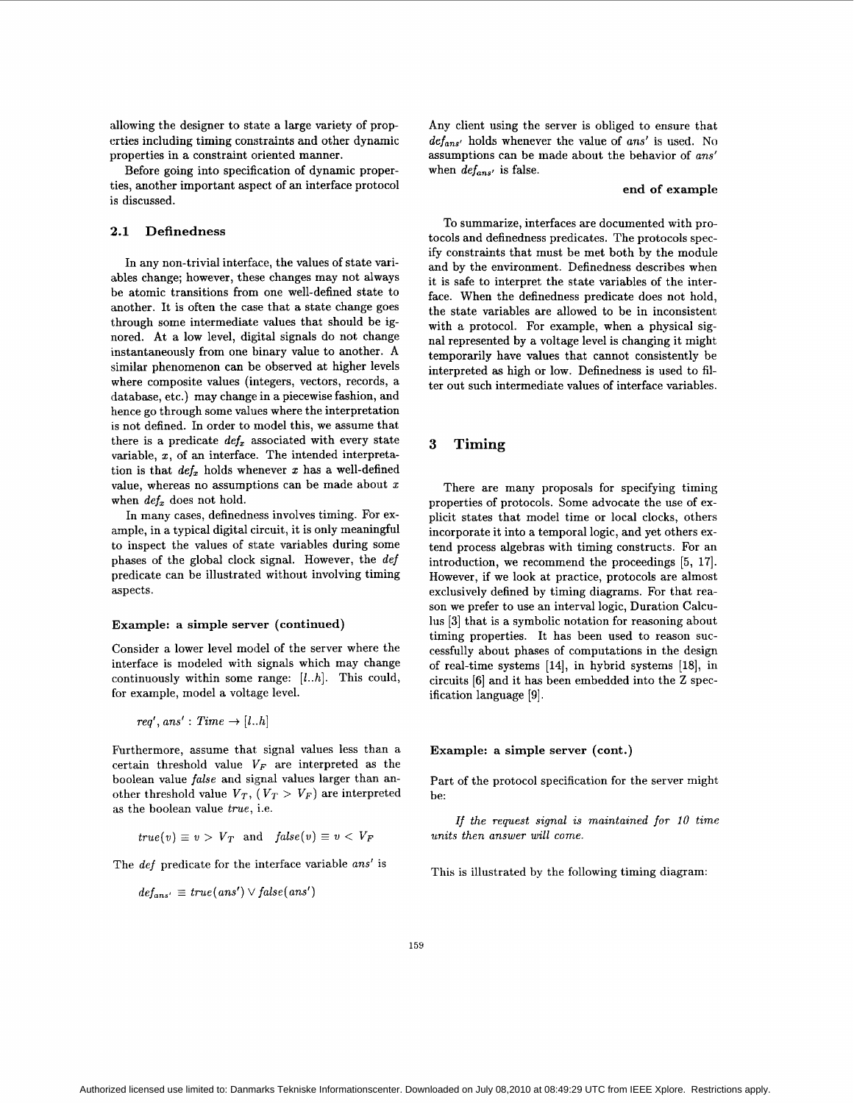allowing the designer to state a large variety of properties including timing constraints and other dynamic properties in a constraint oriented manner.

Before going into specification of dynamic properties, another important aspect of **an** interface protocol is discussed.

#### **2.1 Definedness**

In any non-trivial interface, the values of state variables change; however, these changes may not always be atomic transitions from one well-defined state to another. It is often the case that a state change goes through some intermediate values that should be ignored. At a low level, digital signals do not change instantaneously from one binary value to another. A similar phenomenon can be observed at higher levels where composite values (integers, vectors, records, a database, etc.) may change in a piecewise fashion, and hence go through some values where the interpretation is not defined. In order to model this, we assume that there is a predicate  $def_x$  associated with every state variable, *2,* of an interface. The intended interpretation is that *defx* holds whenever *2* has a well-defined value, whereas no assumptions can be made about *x*  when *defx* does not hold.

In many cases, definedness involves timing. For example, in a typical digital circuit, it is only meaningful to inspect the values of state variables during some phases of the global clock signal. However, the *def*  predicate can be illustrated without involving timing aspects.

#### **Example: a simple server (continued)**

Consider a lower level model of the server where the interface is modeled with signals which may change continuously within some range: [*l..h*]. This could, for example, model a voltage level.

$$
req', ans':\ Time \rightarrow [l..h]
$$

Furthermore, assume that signal values less than a certain threshold value  $V_F$  are interpreted as the boolean value *false* and signal values larger than another threshold value  $V_T$ ,  $(V_T > V_F)$  are interpreted as the boolean value *true,* i.e..

$$
true(v) \equiv v > V_T \quad \text{and} \quad false(v) \equiv v < V_F
$$

The *def* predicate for the interface variable *ans'* is This is illustrated by the following timing diagram:

$$
def_{ans'} \equiv true(ans') \vee false(ans')
$$

Any client using the server is obliged to ensure that *defansl* holds whenever the value of *and* **is** used. No assumptions can be made about the behavior of *ans'*  when  $def_{ans'}$  is false.

#### **end of example**

To summarize, interfaces are documented with protocols and definedness predicates. The protocols specify constraints that must be met both by the module and by the environment. Definedness describes when it is safe to interpret the state variables of the interface. When the definedness predicate does not hold, the state variables are allowed to be in inconsistent with a protocol. For example, when a physical signal represented by a voltage level is changing it might temporarily have values that cannot consistently be interpreted **as** high or low. Definedness is used to filter out such intermediate values of interface variables.

# **3 Timing**

There are many proposals for specifying timing properties of protocols. Some advocate the use of explicit states that model time or local clocks, others incorporate it into a temporal logic, and yet others extend process algebras with timing constructs. For an introduction, we recommend the proceedings [5, **171.**  However, if we look at practice, protocols are almost exclusively defined by timing diagrams. For that reason we prefer to use an interval logic, Duration Calculus **[3]** that is a symbolic notation for reasoning about timing properties. It has been used to reason successfully about phases of computations in the design of real-time systems [14], in hybrid systems [18], in circuits **[6]** and it has been embedded into the Z specification language **[9].** 

**Example: a simple server (cont.)** 

Part of the protocol specification for the server might be:

*If the request signal is maintained for 10 time units then answer will come.*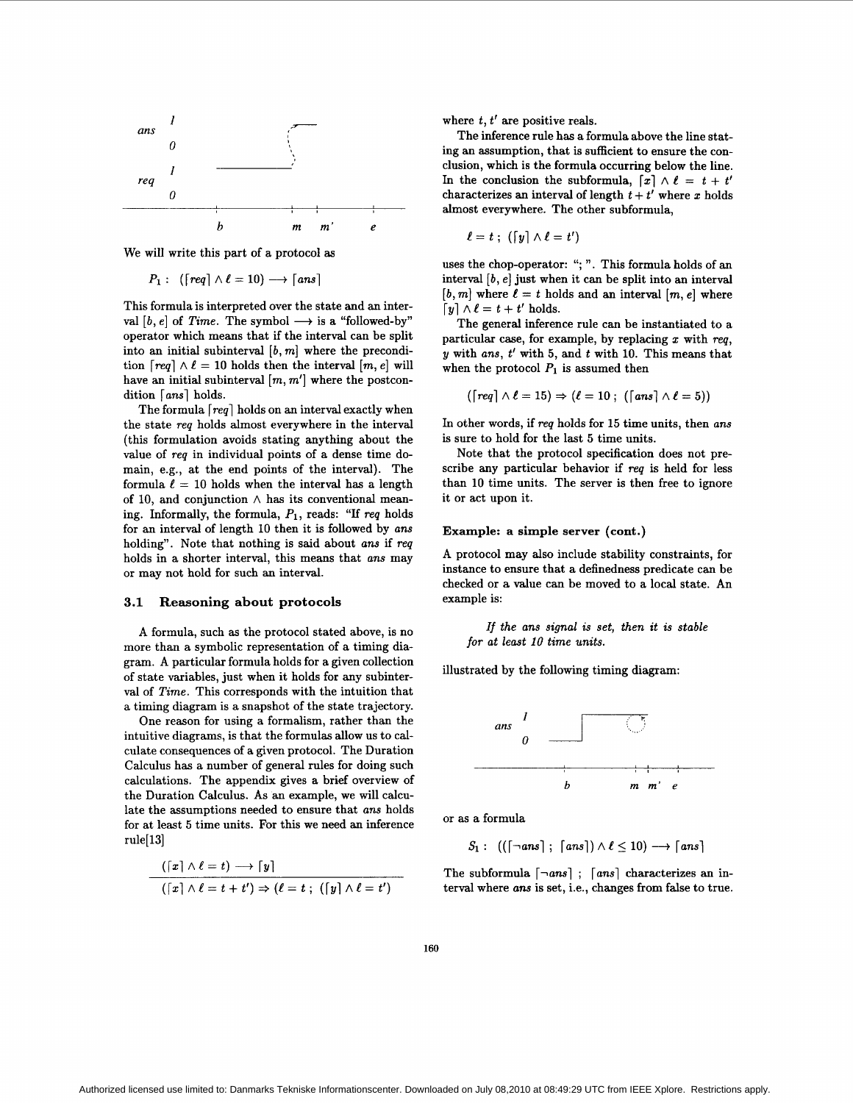

We will write this part of a protocol as<br>  $P_1: ([req] \land \ell = 10) \longrightarrow [ans]$ 

$$
P_1: \ \ (\lceil \textit{req} \rceil \land \ell = 10) \longrightarrow \lceil \textit{ans} \rceil
$$

This formula is interpreted over the state and an interval  $[b, e]$  of *Time.* The symbol  $\longrightarrow$  is a "followed-by" operator which means that if the interval can be split into an initial subinterval  $[b, m]$  where the precondition  $\lceil \text{req} \rceil \wedge \ell = 10$  holds then the interval  $\lceil m, e \rceil$  will have an initial subinterval *[m, m']* where the postcondition [ans] holds.

The formula *[reql* holds on an interval exactly when the state *rep* holds almost everywhere in the interval (this formulation avoids stating anything about the value of reg in individual points of a dense time domain, e.g., at the end points of the interval). The formula  $\ell = 10$  holds when the interval has a length of 10, and conjunction  $\wedge$  has its conventional meaning. Informally, the formula,  $P_1$ , reads: "If req holds for an interval of length 10 then it is followed by *ans*  holding". Note that nothing is said about *ans* if req holds in a shorter interval, this means that *ans* may or may not hold for such an interval.

#### **3.1 Reasoning about protocols**

**A** formula, such as the protocol stated above, is no more than a symbolic representation of a timing diagram. **A** particular formula holds for a given collection of state variables, just when it holds for any subinterval of *Time.* This corresponds with the intuition that a timing diagram is a snapshot of the state trajectory.

One reason for using a formalism, rather than the intuitive diagrams, is that the formulas allow us to calculate consequences of a given protocol. The Duration Calculus has a number of general rules for doing such calculations. The appendix gives a brief overview of the Duration Calculus. **As** an example, we will calculate the assumptions needed to ensure that *ans* holds for at least **5** time units. For this we need an inference  $rule[13]$ 

$$
\frac{(\lceil x \rceil \land \ell = t) \longrightarrow \lceil y \rceil}{(\lceil x \rceil \land \ell = t + t') \Rightarrow (\ell = t \; ; \; (\lceil y \rceil \land \ell = t')
$$

where  $t, t'$  are positive reals.

The inference rule has a formula above the line stating an assumption, that is sufficient to ensure the conclusion, which is the formula occurring below the line. In the conclusion the subformula,  $[x] \wedge \ell = t + t'$ characterizes an interval of length  $t + t'$  where *x* holds almost everywhere. The other subformula,

$$
\ell = t \; ; \; (\lceil y \rceil \wedge \ell = t')
$$

uses the chop-operator: "; ". This formula holds of an interval *[b,* e] just when it can be split into an interval  $[b, m]$  where  $l = t$  holds and an interval  $[m, e]$  where  $[y] \wedge \ell = t + t'$  holds.

The general inference rule can be instantiated to a particular case, for example, by replacing *x* with *req,*  y with *ans, t'* with **5,** and *t* with 10. This means that when the protocol  $P_1$  is assumed then

$$
(\lceil \text{req} \rceil \land \ell = 15) \Rightarrow (\ell = 10 \; ; \; (\lceil \text{ans} \rceil \land \ell = 5))
$$

In other words, if *req* holds for **15** time units, then *ans*  is sure to hold for the last **5** time units.

Note that the protocol specification does not prescribe any particular behavior if *req* is held for less than **10** time units. The server is then free to ignore it or act upon it.

#### **Example: a simple server (cont.)**

**A** protocol may also include stability constraints, for instance to ensure that a definedness predicate can be checked or a value can be moved to a local state. An example is:

*If the ans signal is set, then it is stable for at least 10 time units.* 

illustrated by the following timing diagram:



or **as** a formula

 $S_1: ((\lceil \neg ans \rceil; \lceil ans \rceil) \wedge \ell \leq 10) \longrightarrow \lceil ans \rceil$ 

The subformula  $\lceil \neg ans \rceil$ ;  $\lceil ans \rceil$  characterizes an interval where *ans* is set, i.e., changes from false to true.

**160**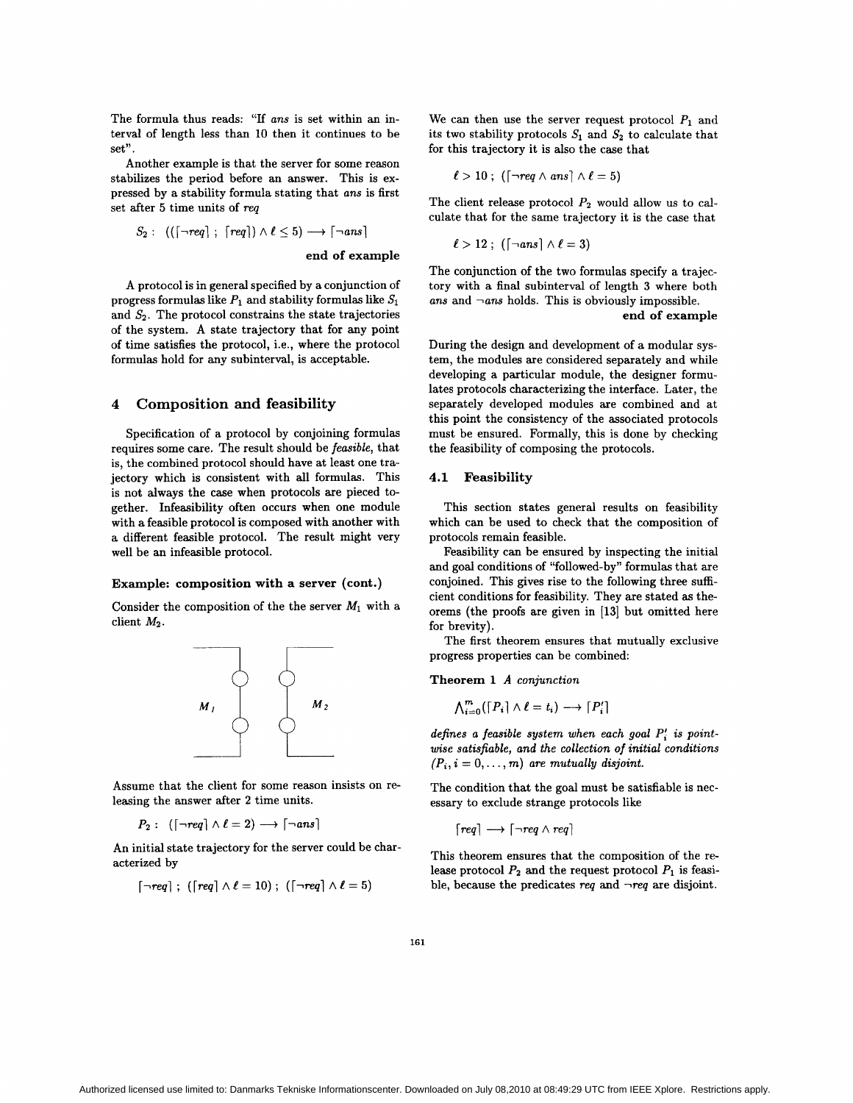The formula thus reads: "If *ans* is set within an interval of length less than **10** then it continues to be set".

Another example is that, the server for some reason stabilizes the period before an answer. This is expressed by a stability formula stating that *ans* is first set after 5 time units of *req* 

$$
S_2: ((\lceil \neg \textit{req} \rceil; \lceil \textit{req} \rceil) \land \ell \leq 5) \longrightarrow \lceil \neg \textit{ans} \rceil
$$

end **of** example

**A** protocol is in general specified by a conjunction of progress formulas like  $P_1$  and stability formulas like  $S_1$ and  $S_2$ . The protocol constrains the state trajectories of the system. **A** state trajectory that for any point of time satisfies the protocol, i.e., where the protocol formulas hold for any subinterval, is acceptable.

## **4 Composition and feasibility**

Specification of a protocol by conjoining formulas requires some care. The result should be *feasible,* that is, the combined protocol should have at least one trajectory which is consistent with all formulas. This is not always the case when protocols are pieced together. Infeasibility often occurs when one module with a feasible protocol is composed with another with a different feasible protocol. The result might very well be an infeasible protocol.

#### Example: composition with a server (cont.)

Consider the composition of the the server  $M_1$  with a client *M2.* 



Assume that the client for some reason insists on **re**leasing the answer after 2 time units.<br>  $P_2: \ \ ( \lceil \neg \textit{req} \rceil \land \ell = 2) \longrightarrow \lceil \neg \textit{ans} \rceil$ 

$$
P_2: \ \ (\lceil \neg reg \rceil \wedge \ell = 2) \longrightarrow \lceil \neg ans \rceil
$$

An initial state trajectory **for** the server could be characterized by ized by<br> $\lceil \lceil \lceil \lceil \log \rceil \rceil \setminus \ell = 10 \rbrace$  ;  $(\lceil \lceil \lceil \lceil \lceil \log \rceil \rceil \setminus \ell = 5)$ 

$$
\lceil \neg \textit{req} \rceil ; \ (\lceil \textit{req} \rceil \land \ell = 10) ; \ (\lceil \neg \textit{req} \rceil \land \ell = 5)
$$

We can then use the server request protocol  $P_1$  and its two stability protocols  $S_1$  and  $S_2$  to calculate that for this trajectory it is also the case that<br> $\ell > 10$ ;  $(\lceil \neg \text{req} \land \text{ans} \rceil \land \ell = 5)$ 

$$
\ell > 10
$$
; ([ $\neg reg \wedge ans$ ]  $\wedge \ell = 5$ )

The client release protocol *Pz* would allow us to calculate that for the same trajectory it is the case that

$$
\ell > 12
$$
;  $\left(\lceil -ans \rceil \wedge \ell = 3\right)$ 

The conjunction of the two formulas specify a trajectory with a final subinterval of length **3** where both ans and  $\neg$ ans holds. This is obviously impossible.

end **of** example

During the design and development of a modular system, the modules are considered separately and while developing a particular module, the designer formulates protocols characterizing the interface. Later, the separately developed modules are combined and at this point the consistency of the associated protocols must be ensured. Formally, this is done by checking the feasibility of composing the protocols.

# **4.1 Feasibility**

This section states general results on feasibility which can be used to check that the composition of protocols remain feasible.

Feasibility can be ensured by inspecting the initial and goal conditions of "followed-by" formulas that are conjoined. This gives rise to the following three sufficient conditions for feasibility. They are stated **as** theorems (the proofs are given in **[13]** but omitted here for brevity).

The first theorem ensures that mutually exclusive progress properties can be combined:

Theorem **1** *A conjunction* 

$$
{\textstyle \bigwedge_{i=0}^m (\lceil P_i \rceil \wedge \ell = t_i) \longrightarrow \lceil P_i' \rceil}
$$

*defines a feasible system when each goal Pi is pointwise satisfiable, and the collection of initial conditions*   $(P_i, i = 0, \ldots, m)$  are mutually disjoint.

The condition that the goal must be satisfiable is necessary to exclude strange protocols like

 $[req] \rightarrow [\neg{req} \land {req}]$ 

This theorem ensures that the composition **of** the release protocol  $P_2$  and the request protocol  $P_1$  is feasible, because the predicates *req* and *-req* are disjoint.

**161**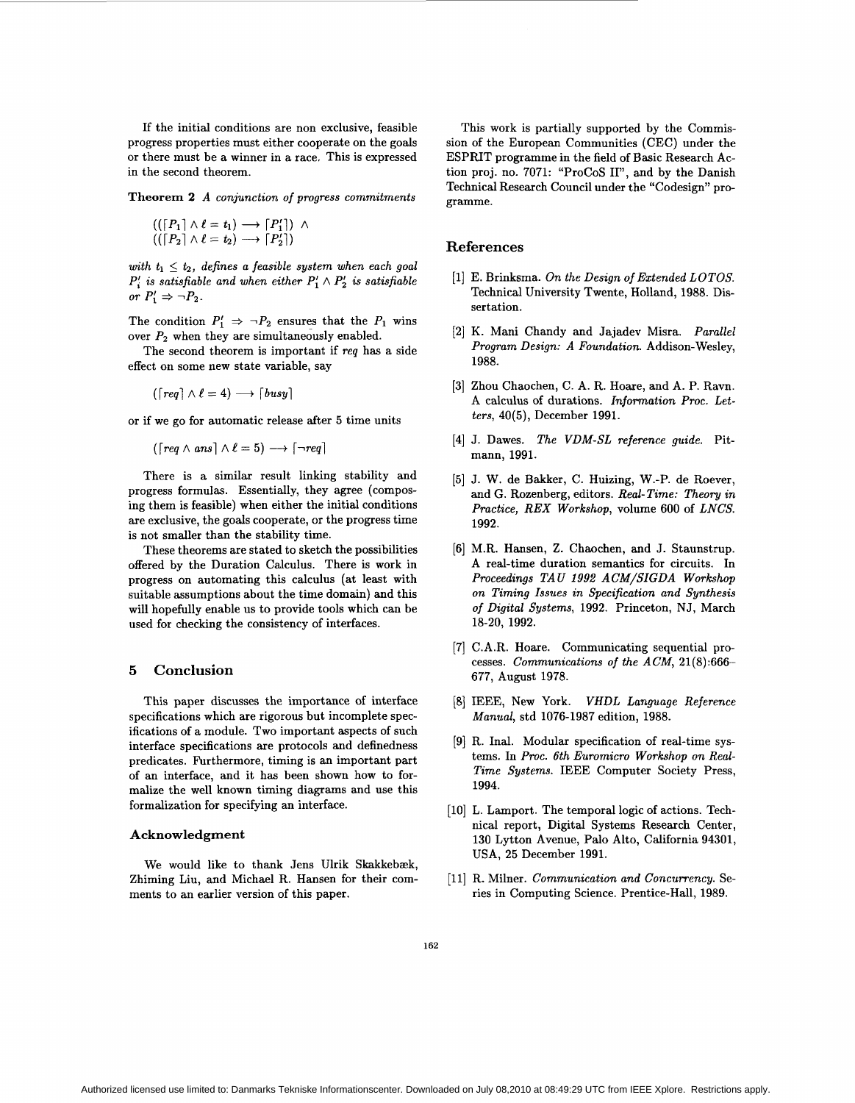If the initial conditions are non exclusive, feasible progress properties must either cooperate on the goals or there must be a winner in a race. This is expressed in the second theorem.

**Theorem 2** *A conjunction of progress commitments* 

$$
(((P_1) \land \ell = t_1) \rightarrow [P'_1]) \land (([P_2] \land \ell = t_2) \rightarrow [P'_2])
$$

with  $t_1 \leq t_2$ , defines a feasible system when each goal  $P'_i$  *is satisfiable and when either*  $P'_1 \wedge P'_2$  *is satisfiable or*  $P'_1 \Rightarrow \neg P_2$ .

The condition  $P'_1 \Rightarrow \neg P_2$  ensures that the  $P_1$  wins over *Pz* when they are simultaneously enabled.

The second theorem is important if *req* has a side effect on some new state variable, say

 $(\lceil \text{req} \rceil \land \ell = 4) \longrightarrow \lceil \text{busy} \rceil$ 

or if we go for automatic release after **5** time units

 $(\lceil \text{req} \land \text{ans} \rceil \land \ell = 5) \longrightarrow \lceil \text{neg} \rceil$ 

There is a similar result linking stability and progress formulas. Essentially, they agree (composing them is feasible) when either the initial conditions are exclusive, the goals cooperate, or the progress time is not smaller than the stability time.

These theorems are stated to sketch the possibilities offered by the Duration Calculus. There is work in progress on automating this calculus (at least with suitable assumptions about the time domain) and this will hopefully enable us to provide tools which can be used for checking the consistency of interfaces.

# *5* **Conclusion**

This paper discusses the importance of interface specifications which are rigorous but incomplete specifications of a module. Two important aspects of such interface specifications are protocols and definedness predicates. Furthermore, timing is an important part of an interface, and it has been shown how to formalize the well known timing diagrams and use this formalization for specifying an interface.

#### **Acknowledgment**

We would like to thank Jens Ulrik Skakkebæk, Zhiming Liu, and Michael R. Hansen for their comments to an earlier version of this paper.

This work is partially supported by the Commission of the European Communities (CEC) under the ESPRIT programme in the field of Basic Research Action proj. no. **7071:** "ProCoS 11", and by the Danish Technical Research Council under the "Codesign" programme.

## **References**

- **[l] E.** Brinksma. *On the Design of Extended LOTOS.*  Technical University Twente, Holland, **1988.** Dissertation.
- **[2] K.** Mani Chandy and Jajadev Misra. *Parallel Program Design: A Foundation.* Addison-Wesley, **1988.**
- **[3]** Zhou Chaochen, C. A. R. Hoare, and A. P. Ravn. A calculus of durations. *Information Proc. Letters,* **40(5),** December **1991.**
- **[4]** J. Dawes. *The VDM-SL reference guide.* Pitmann, **1991.**
- **[5]** J. W. de Bakker, C. Huizing, W.-P. de Roever, and G. Rozenberg, editors. *Real- Time: Theory in Practice, REX Workshop,* volume **600** of *LNCS.*  **1992.**
- [6] M.R. Hansen, Z. Chaochen, and J. Staunstrup. A real-time duration semantics for circuits. In *Proceedings TA* U *1992 ACM/SIG'DA Workshop on Timing Issues in Specification and Synthesis of Digital Systems,* **1992.** Princeton, NJ, March **18-20, 1992.**
- **[7]** C.A.R. Hoare. Communicating sequential **pro**cesses. *Communications* of *the ACM,* **21(8):666- 677,** August **1978.**
- **[8]** IEEE, New **York.** VHDL *Language Reference Manual,* std **1076-1987** edition, **1988.**
- **[9]** R. Inal. Modular specification of real-time systems. In *Pmc. 6th Euromicro Workshop on Real-Time Systems.* IEEE Computer Society Press, **1994.**
- **[lo]** L. Lamport. The temporal logic of actions. Technical report, Digital Systems Research Center, **130** Lytton Avenue, Palo Alto, California **94301,**  USA, **25** December **1991.**
- **[ll]** R. Milner. *Communication and Concurrency.* Series in Computing Science. Prentice-Hall, **1989.**

Authorized licensed use limited to: Danmarks Tekniske Informationscenter. Downloaded on July 08,2010 at 08:49:29 UTC from IEEE Xplore. Restrictions apply.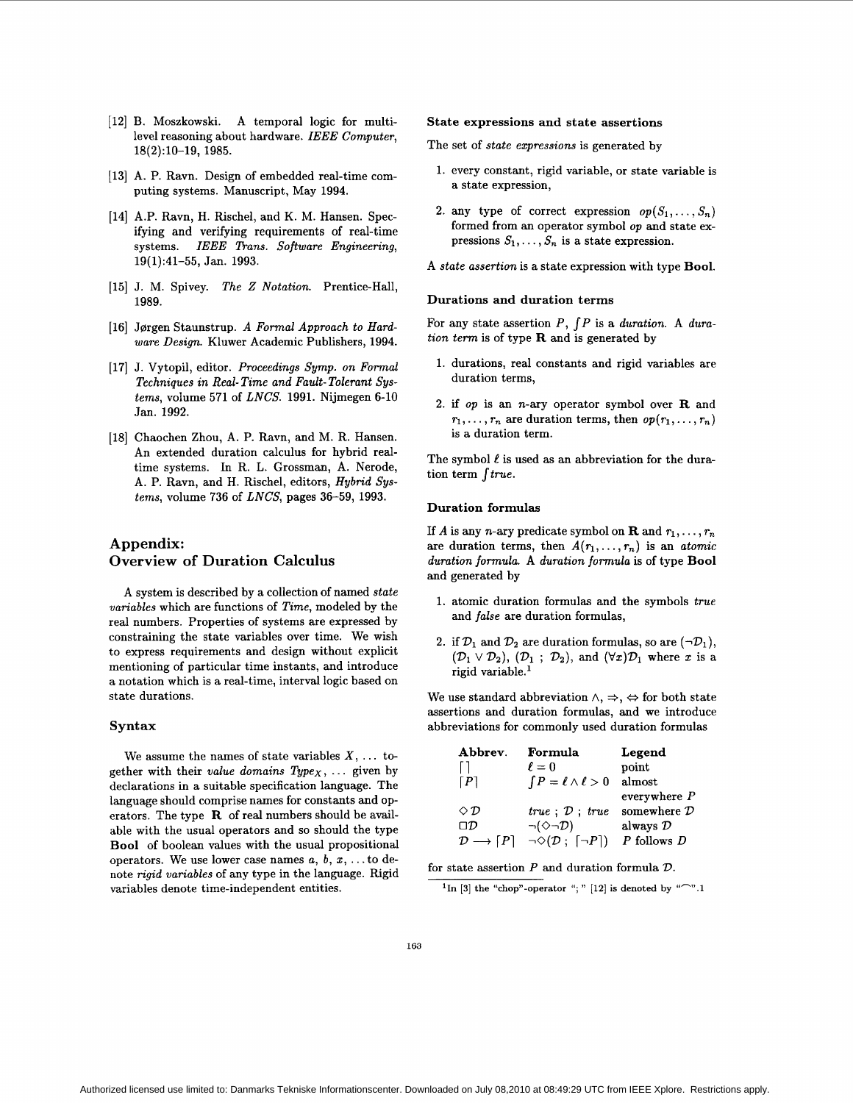- **[12]** B. Moszkowski. A temporal logic for multilevel reasoning about hardware. *IEEE Computer,*  **18(2):10-19, 1985.**
- [13] A. P. Ravn. Design of embedded real-time computing systems. Manuscript, May **1994.**
- [14] A.P. Ravn, H. Rischel, and K. M. Hansen. Specifying and verifying requirements of real-time systems. *IEEE* **Trans.** *Software Engineering,*  **19(1):41-55,** Jan. **1993.**
- **[15]** J. **M.** Spivey. *The* Z *Notation.* Prentice-Hall, **1989.**
- **[16]** Jorgen Staunstrup. A *Fomal Approach to Hardware Design.* Kluwer Academic Publishers, **1994.**
- [17] J. Vytopil, editor. *Proceedings Symp. on Formal Techniques in Real- Time and Fault- Tolerant Systems,* volume **571** of *L.NCS.* **1991.** Nijmegen **6-10**
- [18] Chaochen Zhou, A. P. Ravn, and M. R. Hansen. is a duration term. An extended duration calculus for hybrid realtime systems. In R. L. Grossman, **A.** Nerode, A. P. Ravn, and H. Rischel, editors, *Hybrid Systems,* volume **736** of *LNCS,* pages **36-59, 1993. Duration formulas**

# **Appendix: Overview of Duration Calculus**

**A** system is described by a collection of named *state variables* which are functions of *Time,* modeled by the real numbers. Properties of systems are expressed by constraining the state variables over time. We wish to express requirements and design without explicit mentioning of particular time instants, and introduce a notation which is a real-time, interval logic based on state durations.

# **Syntax**

We assume the names of state variables  $X$ ,  $\dots$  together with their *value domains Typex,* . . . given by declarations in a suitable specification language. The language should comprise names for constants and operators. The type **R** of real numbers should be available with the usual operators and so should the type **Bool** of boolean values with the usual propositional operators. We use lower case names *a, b, x,* . . .to denote *rigid variables* of any type in the language. Rigid variables denote time-independent entities.

#### **State expressions and state assertions**

The set of *state expressions* is generated by

- **1.** every constant, rigid variable, or state variable is a state expression,
- 2. any type of correct expression  $op(S_1, \ldots, S_n)$ formed from an operator symbol *op* and state expressions  $S_1, \ldots, S_n$  is a state expression.

A *state assertion* is a state expression with type **Bool.** 

#### **Durations and duration terms**

For any state assertion *P*,  $\int P$  is a *duration*. A *duration term* is of type  **and is generated by** 

- **1.** durations, real constants and rigid variables are duration terms,
- $\frac{1}{2}$ . **1992. 1992. 2. if** *op* **is an** *n***-ary operator symbol over <b>R** and **Jan.** 1992.  $r_1, \ldots, r_n$  are duration terms, then  $op(r_1, \ldots, r_n)$

The symbol  $\ell$  is used as an abbreviation for the duration term *f* true.

If *A* is any *n*-ary predicate symbol on **R** and  $r_1, \ldots, r_n$ are duration terms, then  $A(r_1, \ldots, r_n)$  is an *atomic duration formula.* **A** *duration formula* is of type **Bool**  and generated by

- 1. atomic duration formulas and the symbols *true*  and *fake* are duration formulas,
- 2. if  $\mathcal{D}_1$  and  $\mathcal{D}_2$  are duration formulas, so are  $(\neg \mathcal{D}_1)$ ,  $(\mathcal{D}_1 \vee \mathcal{D}_2)$ ,  $(\mathcal{D}_1 ; \mathcal{D}_2)$ , and  $(\forall x) \mathcal{D}_1$  where *x* is a rigid variable.<sup>1</sup>

We use standard abbreviation  $\wedge$ ,  $\Rightarrow$ ,  $\Leftrightarrow$  for both state assertions and duration formulas, and we introduce abbreviations for commonly used duration formulas

| Abbrev. | Formula                                             | Legend               |
|---------|-----------------------------------------------------|----------------------|
|         | $\ell=0$                                            | point                |
| [P]     | $\int P = \ell \wedge \ell > 0$                     | $\mathbf{almost}$    |
|         |                                                     | everywhere $P$       |
| ◇ D     | true : D : true                                     | somewhere $D$        |
| $\Box$  | $\neg(\Diamond \neg \mathcal{D})$                   | always $\mathcal{D}$ |
|         | $\neg \Diamond (\mathcal{D}; [\neg P])$ P follows D |                      |

for state assertion  $P$  and duration formula  $D$ .

<sup>1</sup>In [3] the "chop"-operator "; " [12] is denoted by " $\sim$ ".1